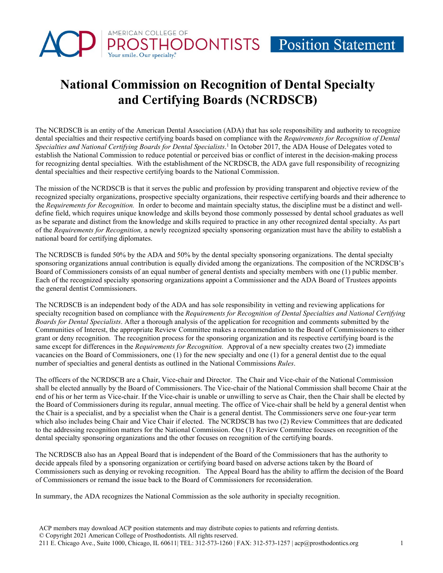## **National Commission on Recognition of Dental Specialty and Certifying Boards (NCRDSCB)**

AMERICAN COLLEGE OF

The NCRDSCB is an entity of the American Dental Association (ADA) that has sole responsibility and authority to recognize dental specialties and their respective certifying boards based on compliance with the *Requirements for Recognition of Dental Specialties and National Certifying Boards for Dental Specialists*. <sup>1</sup> In October 2017, the ADA House of Delegates voted to establish the National Commission to reduce potential or perceived bias or conflict of interest in the decision-making process for recognizing dental specialties. With the establishment of the NCRDSCB, the ADA gave full responsibility of recognizing dental specialties and their respective certifying boards to the National Commission.

The mission of the NCRDSCB is that it serves the public and profession by providing transparent and objective review of the recognized specialty organizations, prospective specialty organizations, their respective certifying boards and their adherence to the *Requirements for Recognition.* In order to become and maintain specialty status, the discipline must be a distinct and welldefine field, which requires unique knowledge and skills beyond those commonly possessed by dental school graduates as well as be separate and distinct from the knowledge and skills required to practice in any other recognized dental specialty. As part of the *Requirements for Recognition,* a newly recognized specialty sponsoring organization must have the ability to establish a national board for certifying diplomates.

The NCRDSCB is funded 50% by the ADA and 50% by the dental specialty sponsoring organizations. The dental specialty sponsoring organizations annual contribution is equally divided among the organizations. The composition of the NCRDSCB's Board of Commissioners consists of an equal number of general dentists and specialty members with one (1) public member. Each of the recognized specialty sponsoring organizations appoint a Commissioner and the ADA Board of Trustees appoints the general dentist Commissioners.

The NCRDSCB is an independent body of the ADA and has sole responsibility in vetting and reviewing applications for specialty recognition based on compliance with the *Requirements for Recognition of Dental Specialties and National Certifying Boards for Dental Specialists*. After a thorough analysis of the application for recognition and comments submitted by the Communities of Interest, the appropriate Review Committee makes a recommendation to the Board of Commissioners to either grant or deny recognition. The recognition process for the sponsoring organization and its respective certifying board is the same except for differences in the *Requirements for Recognition.* Approval of a new specialty creates two (2) immediate vacancies on the Board of Commissioners, one (1) for the new specialty and one (1) for a general dentist due to the equal number of specialties and general dentists as outlined in the National Commissions *Rules*.

The officers of the NCRDSCB are a Chair, Vice-chair and Director. The Chair and Vice-chair of the National Commission shall be elected annually by the Board of Commissioners. The Vice-chair of the National Commission shall become Chair at the end of his or her term as Vice-chair. If the Vice-chair is unable or unwilling to serve as Chair, then the Chair shall be elected by the Board of Commissioners during its regular, annual meeting. The office of Vice-chair shall be held by a general dentist when the Chair is a specialist, and by a specialist when the Chair is a general dentist. The Commissioners serve one four-year term which also includes being Chair and Vice Chair if elected. The NCRDSCB has two (2) Review Committees that are dedicated to the addressing recognition matters for the National Commission. One (1) Review Committee focuses on recognition of the dental specialty sponsoring organizations and the other focuses on recognition of the certifying boards.

The NCRDSCB also has an Appeal Board that is independent of the Board of the Commissioners that has the authority to decide appeals filed by a sponsoring organization or certifying board based on adverse actions taken by the Board of Commissioners such as denying or revoking recognition. The Appeal Board has the ability to affirm the decision of the Board of Commissioners or remand the issue back to the Board of Commissioners for reconsideration.

In summary, the ADA recognizes the National Commission as the sole authority in specialty recognition.